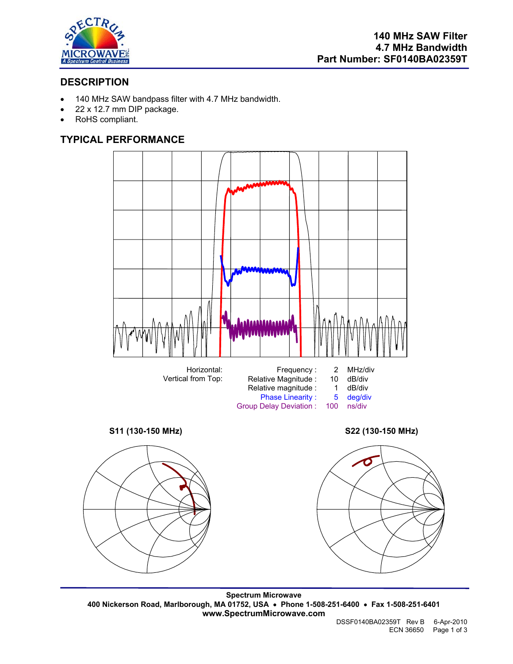

## **DESCRIPTION**

- 140 MHz SAW bandpass filter with 4.7 MHz bandwidth.
- 22 x 12.7 mm DIP package.
- RoHS compliant.

# **TYPICAL PERFORMANCE**



**Spectrum Microwave 400 Nickerson Road, Marlborough, MA 01752, USA** • **Phone 1-508-251-6400** • **Fax 1-508-251-6401 www.SpectrumMicrowave.com**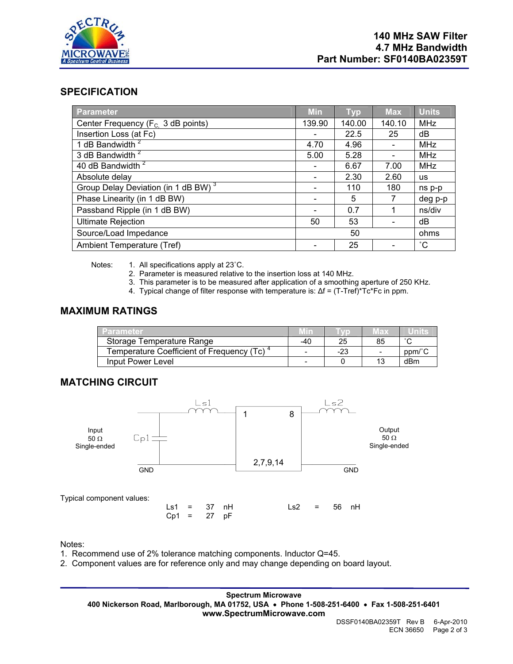

### **SPECIFICATION**

| <b>Parameter</b>                                | <b>Min</b> | <b>Typ</b> | <b>Max</b> | <b>Units</b> |
|-------------------------------------------------|------------|------------|------------|--------------|
| Center Frequency ( $F_c$ 3 dB points)           | 139.90     | 140.00     | 140.10     | <b>MHz</b>   |
| Insertion Loss (at Fc)                          |            | 22.5       | 25         | dB           |
| 1 dB Bandwidth <sup>2</sup>                     | 4.70       | 4.96       |            | MHz          |
| 3 dB Bandwidth <sup>2</sup>                     | 5.00       | 5.28       |            | MHz          |
| 40 dB Bandwidth <sup>2</sup>                    |            | 6.67       | 7.00       | <b>MHz</b>   |
| Absolute delay                                  |            | 2.30       | 2.60       | <b>us</b>    |
| Group Delay Deviation (in 1 dB BW) <sup>3</sup> |            | 110        | 180        | ns p-p       |
| Phase Linearity (in 1 dB BW)                    |            | 5          |            | deg p-p      |
| Passband Ripple (in 1 dB BW)                    |            | 0.7        |            | ns/div       |
| <b>Ultimate Rejection</b>                       | 50         | 53         |            | dB           |
| Source/Load Impedance                           | 50         |            |            | ohms         |
| Ambient Temperature (Tref)                      |            | 25         |            | $^{\circ}$ C |

Notes: 1. All specifications apply at 23°C.

- 2. Parameter is measured relative to the insertion loss at 140 MHz.
- 3. This parameter is to be measured after application of a smoothing aperture of 250 KHz.
- 4. Typical change of filter response with temperature is: ∆f = (T-Tref)\*Tc\*Fc in ppm.

#### **MAXIMUM RATINGS**

| Parameter                                 |     |     | иах                      | units  |
|-------------------------------------------|-----|-----|--------------------------|--------|
| Storage Temperature Range                 | -40 | 25  | 85                       | $\sim$ |
| Temperature Coefficient of Frequency (Tc) | -   | -23 | $\overline{\phantom{0}}$ | ppm/°C |
| Input Power Level                         | -   |     | 13                       | dBm    |

## **MATCHING CIRCUIT**



#### Notes:

- 1. Recommend use of 2% tolerance matching components. Inductor Q=45.
- 2. Component values are for reference only and may change depending on board layout.

**Spectrum Microwave 400 Nickerson Road, Marlborough, MA 01752, USA** • **Phone 1-508-251-6400** • **Fax 1-508-251-6401 www.SpectrumMicrowave.com**